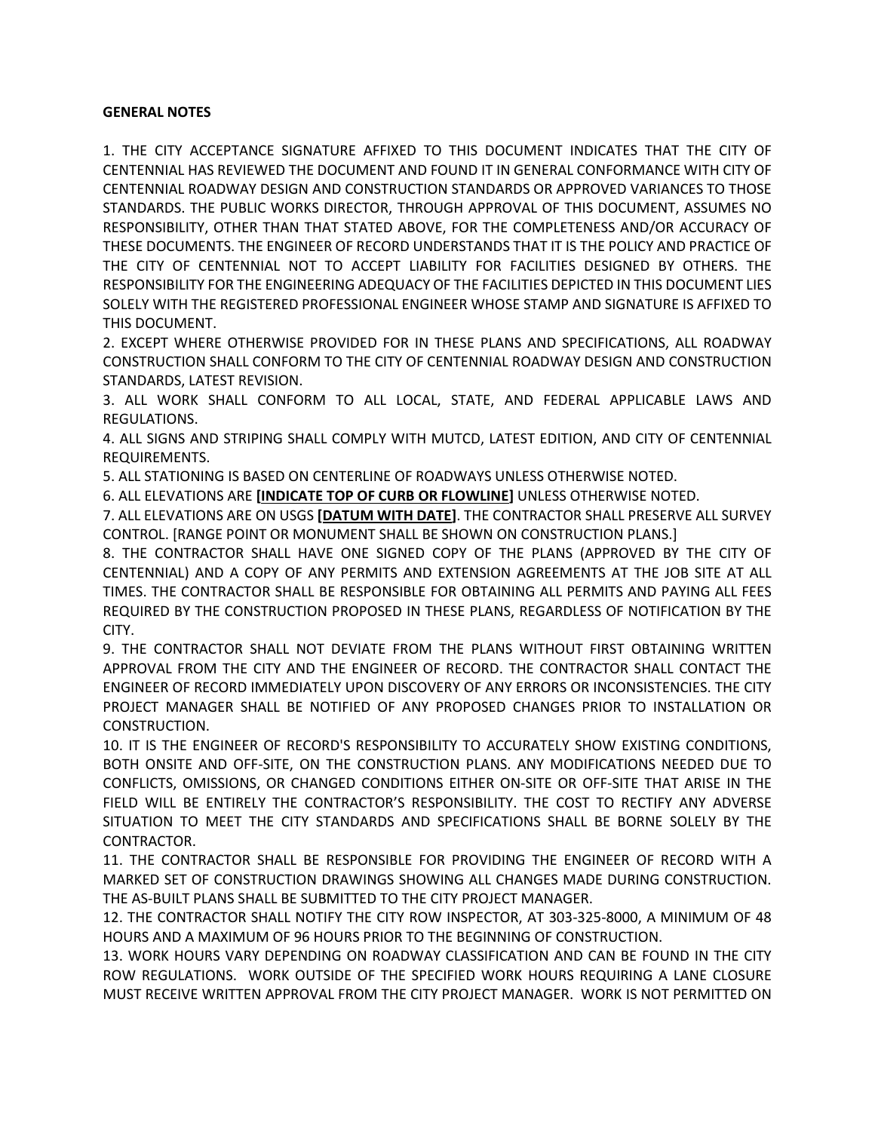## **GENERAL NOTES**

1. THE CITY ACCEPTANCE SIGNATURE AFFIXED TO THIS DOCUMENT INDICATES THAT THE CITY OF CENTENNIAL HAS REVIEWED THE DOCUMENT AND FOUND IT IN GENERAL CONFORMANCE WITH CITY OF CENTENNIAL ROADWAY DESIGN AND CONSTRUCTION STANDARDS OR APPROVED VARIANCES TO THOSE STANDARDS. THE PUBLIC WORKS DIRECTOR, THROUGH APPROVAL OF THIS DOCUMENT, ASSUMES NO RESPONSIBILITY, OTHER THAN THAT STATED ABOVE, FOR THE COMPLETENESS AND/OR ACCURACY OF THESE DOCUMENTS. THE ENGINEER OF RECORD UNDERSTANDS THAT IT IS THE POLICY AND PRACTICE OF THE CITY OF CENTENNIAL NOT TO ACCEPT LIABILITY FOR FACILITIES DESIGNED BY OTHERS. THE RESPONSIBILITY FOR THE ENGINEERING ADEQUACY OF THE FACILITIES DEPICTED IN THIS DOCUMENT LIES SOLELY WITH THE REGISTERED PROFESSIONAL ENGINEER WHOSE STAMP AND SIGNATURE IS AFFIXED TO THIS DOCUMENT.

2. EXCEPT WHERE OTHERWISE PROVIDED FOR IN THESE PLANS AND SPECIFICATIONS, ALL ROADWAY CONSTRUCTION SHALL CONFORM TO THE CITY OF CENTENNIAL ROADWAY DESIGN AND CONSTRUCTION STANDARDS, LATEST REVISION.

3. ALL WORK SHALL CONFORM TO ALL LOCAL, STATE, AND FEDERAL APPLICABLE LAWS AND REGULATIONS.

4. ALL SIGNS AND STRIPING SHALL COMPLY WITH MUTCD, LATEST EDITION, AND CITY OF CENTENNIAL REQUIREMENTS.

5. ALL STATIONING IS BASED ON CENTERLINE OF ROADWAYS UNLESS OTHERWISE NOTED.

6. ALL ELEVATIONS ARE **[INDICATE TOP OF CURB OR FLOWLINE]** UNLESS OTHERWISE NOTED.

7. ALL ELEVATIONS ARE ON USGS **[DATUM WITH DATE]**. THE CONTRACTOR SHALL PRESERVE ALL SURVEY CONTROL. [RANGE POINT OR MONUMENT SHALL BE SHOWN ON CONSTRUCTION PLANS.]

8. THE CONTRACTOR SHALL HAVE ONE SIGNED COPY OF THE PLANS (APPROVED BY THE CITY OF CENTENNIAL) AND A COPY OF ANY PERMITS AND EXTENSION AGREEMENTS AT THE JOB SITE AT ALL TIMES. THE CONTRACTOR SHALL BE RESPONSIBLE FOR OBTAINING ALL PERMITS AND PAYING ALL FEES REQUIRED BY THE CONSTRUCTION PROPOSED IN THESE PLANS, REGARDLESS OF NOTIFICATION BY THE CITY.

9. THE CONTRACTOR SHALL NOT DEVIATE FROM THE PLANS WITHOUT FIRST OBTAINING WRITTEN APPROVAL FROM THE CITY AND THE ENGINEER OF RECORD. THE CONTRACTOR SHALL CONTACT THE ENGINEER OF RECORD IMMEDIATELY UPON DISCOVERY OF ANY ERRORS OR INCONSISTENCIES. THE CITY PROJECT MANAGER SHALL BE NOTIFIED OF ANY PROPOSED CHANGES PRIOR TO INSTALLATION OR CONSTRUCTION.

10. IT IS THE ENGINEER OF RECORD'S RESPONSIBILITY TO ACCURATELY SHOW EXISTING CONDITIONS, BOTH ONSITE AND OFF-SITE, ON THE CONSTRUCTION PLANS. ANY MODIFICATIONS NEEDED DUE TO CONFLICTS, OMISSIONS, OR CHANGED CONDITIONS EITHER ON-SITE OR OFF-SITE THAT ARISE IN THE FIELD WILL BE ENTIRELY THE CONTRACTOR'S RESPONSIBILITY. THE COST TO RECTIFY ANY ADVERSE SITUATION TO MEET THE CITY STANDARDS AND SPECIFICATIONS SHALL BE BORNE SOLELY BY THE CONTRACTOR.

11. THE CONTRACTOR SHALL BE RESPONSIBLE FOR PROVIDING THE ENGINEER OF RECORD WITH A MARKED SET OF CONSTRUCTION DRAWINGS SHOWING ALL CHANGES MADE DURING CONSTRUCTION. THE AS-BUILT PLANS SHALL BE SUBMITTED TO THE CITY PROJECT MANAGER.

12. THE CONTRACTOR SHALL NOTIFY THE CITY ROW INSPECTOR, AT 303-325-8000, A MINIMUM OF 48 HOURS AND A MAXIMUM OF 96 HOURS PRIOR TO THE BEGINNING OF CONSTRUCTION.

13. WORK HOURS VARY DEPENDING ON ROADWAY CLASSIFICATION AND CAN BE FOUND IN THE CITY ROW REGULATIONS. WORK OUTSIDE OF THE SPECIFIED WORK HOURS REQUIRING A LANE CLOSURE MUST RECEIVE WRITTEN APPROVAL FROM THE CITY PROJECT MANAGER. WORK IS NOT PERMITTED ON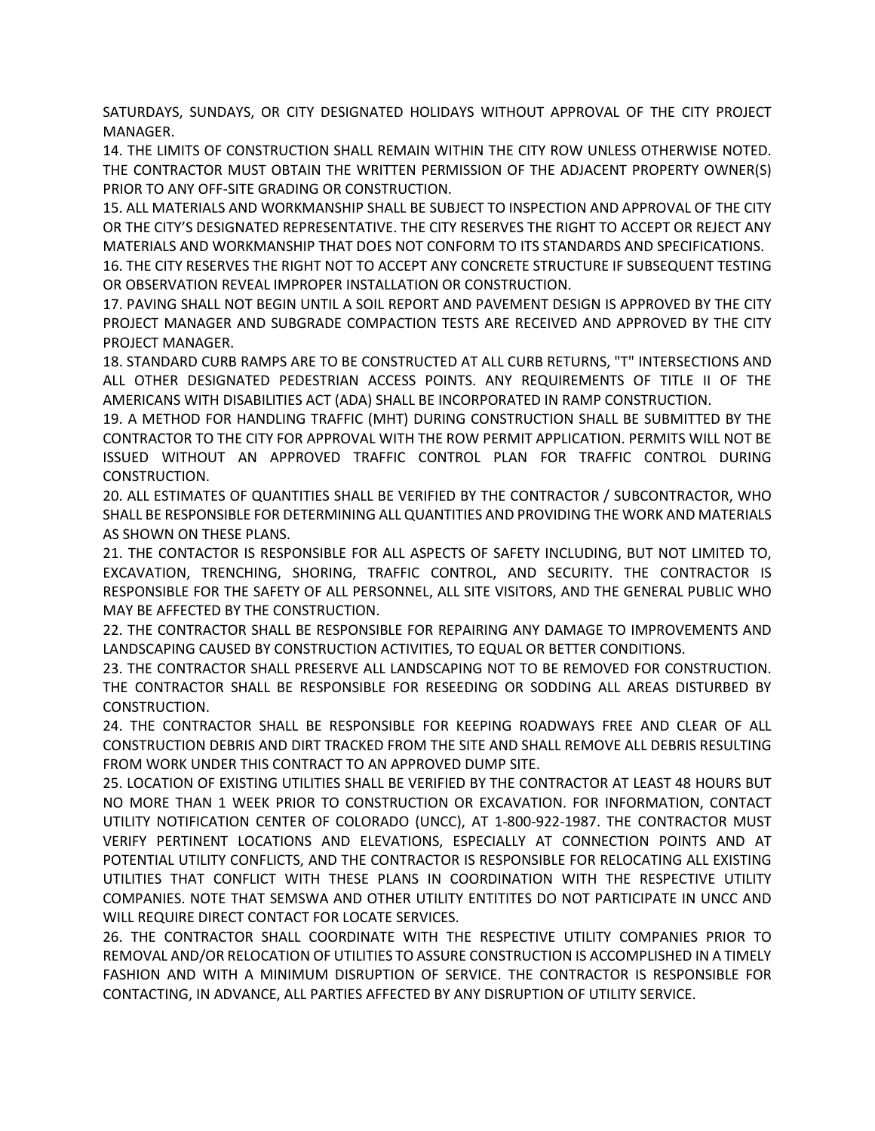SATURDAYS, SUNDAYS, OR CITY DESIGNATED HOLIDAYS WITHOUT APPROVAL OF THE CITY PROJECT MANAGER.

14. THE LIMITS OF CONSTRUCTION SHALL REMAIN WITHIN THE CITY ROW UNLESS OTHERWISE NOTED. THE CONTRACTOR MUST OBTAIN THE WRITTEN PERMISSION OF THE ADJACENT PROPERTY OWNER(S) PRIOR TO ANY OFF-SITE GRADING OR CONSTRUCTION.

15. ALL MATERIALS AND WORKMANSHIP SHALL BE SUBJECT TO INSPECTION AND APPROVAL OF THE CITY OR THE CITY'S DESIGNATED REPRESENTATIVE. THE CITY RESERVES THE RIGHT TO ACCEPT OR REJECT ANY MATERIALS AND WORKMANSHIP THAT DOES NOT CONFORM TO ITS STANDARDS AND SPECIFICATIONS.

16. THE CITY RESERVES THE RIGHT NOT TO ACCEPT ANY CONCRETE STRUCTURE IF SUBSEQUENT TESTING OR OBSERVATION REVEAL IMPROPER INSTALLATION OR CONSTRUCTION.

17. PAVING SHALL NOT BEGIN UNTIL A SOIL REPORT AND PAVEMENT DESIGN IS APPROVED BY THE CITY PROJECT MANAGER AND SUBGRADE COMPACTION TESTS ARE RECEIVED AND APPROVED BY THE CITY PROJECT MANAGER.

18. STANDARD CURB RAMPS ARE TO BE CONSTRUCTED AT ALL CURB RETURNS, "T" INTERSECTIONS AND ALL OTHER DESIGNATED PEDESTRIAN ACCESS POINTS. ANY REQUIREMENTS OF TITLE II OF THE AMERICANS WITH DISABILITIES ACT (ADA) SHALL BE INCORPORATED IN RAMP CONSTRUCTION.

19. A METHOD FOR HANDLING TRAFFIC (MHT) DURING CONSTRUCTION SHALL BE SUBMITTED BY THE CONTRACTOR TO THE CITY FOR APPROVAL WITH THE ROW PERMIT APPLICATION. PERMITS WILL NOT BE ISSUED WITHOUT AN APPROVED TRAFFIC CONTROL PLAN FOR TRAFFIC CONTROL DURING CONSTRUCTION.

20. ALL ESTIMATES OF QUANTITIES SHALL BE VERIFIED BY THE CONTRACTOR / SUBCONTRACTOR, WHO SHALL BE RESPONSIBLE FOR DETERMINING ALL QUANTITIES AND PROVIDING THE WORK AND MATERIALS AS SHOWN ON THESE PLANS.

21. THE CONTACTOR IS RESPONSIBLE FOR ALL ASPECTS OF SAFETY INCLUDING, BUT NOT LIMITED TO, EXCAVATION, TRENCHING, SHORING, TRAFFIC CONTROL, AND SECURITY. THE CONTRACTOR IS RESPONSIBLE FOR THE SAFETY OF ALL PERSONNEL, ALL SITE VISITORS, AND THE GENERAL PUBLIC WHO MAY BE AFFECTED BY THE CONSTRUCTION.

22. THE CONTRACTOR SHALL BE RESPONSIBLE FOR REPAIRING ANY DAMAGE TO IMPROVEMENTS AND LANDSCAPING CAUSED BY CONSTRUCTION ACTIVITIES, TO EQUAL OR BETTER CONDITIONS.

23. THE CONTRACTOR SHALL PRESERVE ALL LANDSCAPING NOT TO BE REMOVED FOR CONSTRUCTION. THE CONTRACTOR SHALL BE RESPONSIBLE FOR RESEEDING OR SODDING ALL AREAS DISTURBED BY CONSTRUCTION.

24. THE CONTRACTOR SHALL BE RESPONSIBLE FOR KEEPING ROADWAYS FREE AND CLEAR OF ALL CONSTRUCTION DEBRIS AND DIRT TRACKED FROM THE SITE AND SHALL REMOVE ALL DEBRIS RESULTING FROM WORK UNDER THIS CONTRACT TO AN APPROVED DUMP SITE.

25. LOCATION OF EXISTING UTILITIES SHALL BE VERIFIED BY THE CONTRACTOR AT LEAST 48 HOURS BUT NO MORE THAN 1 WEEK PRIOR TO CONSTRUCTION OR EXCAVATION. FOR INFORMATION, CONTACT UTILITY NOTIFICATION CENTER OF COLORADO (UNCC), AT 1-800-922-1987. THE CONTRACTOR MUST VERIFY PERTINENT LOCATIONS AND ELEVATIONS, ESPECIALLY AT CONNECTION POINTS AND AT POTENTIAL UTILITY CONFLICTS, AND THE CONTRACTOR IS RESPONSIBLE FOR RELOCATING ALL EXISTING UTILITIES THAT CONFLICT WITH THESE PLANS IN COORDINATION WITH THE RESPECTIVE UTILITY COMPANIES. NOTE THAT SEMSWA AND OTHER UTILITY ENTITITES DO NOT PARTICIPATE IN UNCC AND WILL REQUIRE DIRECT CONTACT FOR LOCATE SERVICES.

26. THE CONTRACTOR SHALL COORDINATE WITH THE RESPECTIVE UTILITY COMPANIES PRIOR TO REMOVAL AND/OR RELOCATION OF UTILITIES TO ASSURE CONSTRUCTION IS ACCOMPLISHED IN A TIMELY FASHION AND WITH A MINIMUM DISRUPTION OF SERVICE. THE CONTRACTOR IS RESPONSIBLE FOR CONTACTING, IN ADVANCE, ALL PARTIES AFFECTED BY ANY DISRUPTION OF UTILITY SERVICE.